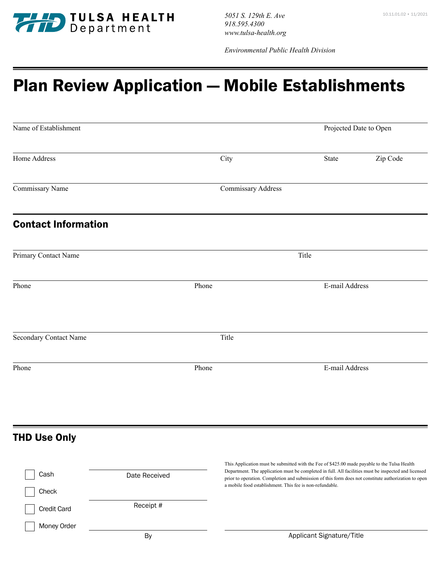

10.11.01.02 • 11/2021 *5051 S. 129th E. Ave 918.595.4300 www.tulsa-health.org*

*Environmental Public Health Division* 

## Plan Review Application — Mobile Establishments

|                    | Projected Date to Open |                                  |
|--------------------|------------------------|----------------------------------|
| City               | State                  | Zip Code                         |
| Commissary Address |                        |                                  |
|                    |                        |                                  |
|                    | Title                  |                                  |
| Phone              |                        |                                  |
| Title              |                        |                                  |
| Phone              |                        |                                  |
|                    |                        | E-mail Address<br>E-mail Address |

## THD Use Only

| Cash               | Date Received | This Application must be submitted with the Fee of \$425.00 made payable to the Tulsa Health<br>Department. The application must be completed in full. All facilities must be inspected and licensed<br>prior to operation. Completion and submission of this form does not constitute authorization to open |
|--------------------|---------------|--------------------------------------------------------------------------------------------------------------------------------------------------------------------------------------------------------------------------------------------------------------------------------------------------------------|
| Check              |               | a mobile food establishment. This fee is non-refundable.                                                                                                                                                                                                                                                     |
| <b>Credit Card</b> | Receipt #     |                                                                                                                                                                                                                                                                                                              |
| Money Order        |               |                                                                                                                                                                                                                                                                                                              |
|                    | By            | Applicant Signature/Title                                                                                                                                                                                                                                                                                    |